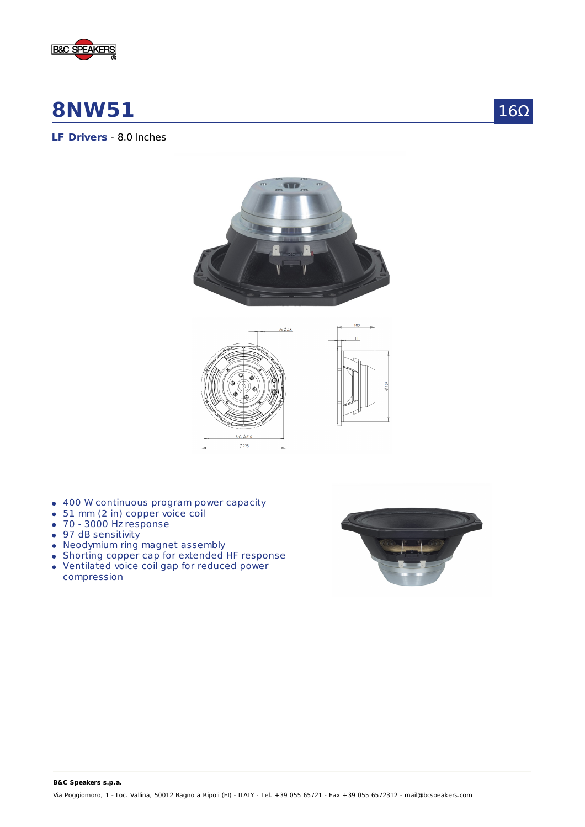

# **8NW51**



**LF Drivers** - 8.0 Inches





- 400 W continuous program power capacity
- 51 mm (2 in) copper voice coil
- 70 3000 Hz response
- 97 dB sensitivity
- Neodymium ring magnet assembly
- Shorting copper cap for extended HF response
- Ventilated voice coil gap for reduced power compression